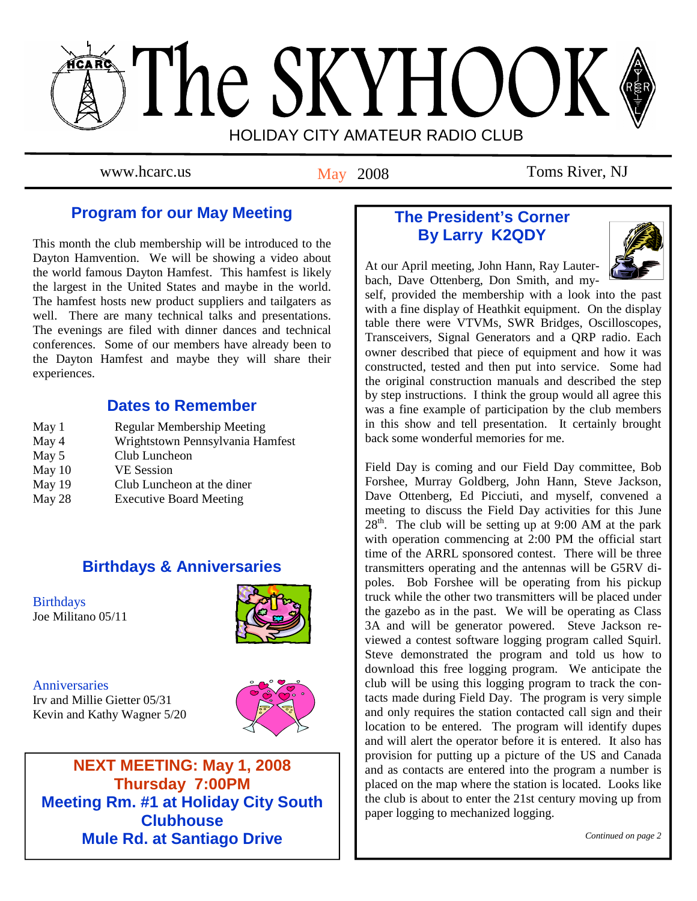# The SKYHOOK HOLIDAY CITY AMATEUR RADIO CLUB

May 2008

www.hcarc.us May 2008 Toms River, NJ

# **Program for our May Meeting**

This month the club membership will be introduced to the Dayton Hamvention. We will be showing a video about the world famous Dayton Hamfest. This hamfest is likely the largest in the United States and maybe in the world. The hamfest hosts new product suppliers and tailgaters as well. There are many technical talks and presentations. The evenings are filed with dinner dances and technical conferences. Some of our members have already been to the Dayton Hamfest and maybe they will share their experiences.

## **Dates to Remember**

| May 1  | <b>Regular Membership Meeting</b> |
|--------|-----------------------------------|
| May 4  | Wrightstown Pennsylvania Hamfest  |
| May 5  | Club Luncheon                     |
| May 10 | <b>VE</b> Session                 |
| May 19 | Club Luncheon at the diner        |
| May 28 | <b>Executive Board Meeting</b>    |

## **Birthdays & Anniversaries**

**Birthdays** Joe Militano 05/11



**Anniversaries** 

Irv and Millie Gietter 05/31 Kevin and Kathy Wagner 5/20



**NEXT MEETING: May 1, 2008 Thursday 7:00PM Meeting Rm. #1 at Holiday City South Clubhouse Mule Rd. at Santiago Drive** 

# **The President's Corner By Larry K2QDY**



At our April meeting, John Hann, Ray Lauterbach, Dave Ottenberg, Don Smith, and my-

self, provided the membership with a look into the past with a fine display of Heathkit equipment. On the display table there were VTVMs, SWR Bridges, Oscilloscopes, Transceivers, Signal Generators and a QRP radio. Each owner described that piece of equipment and how it was constructed, tested and then put into service. Some had the original construction manuals and described the step by step instructions. I think the group would all agree this was a fine example of participation by the club members in this show and tell presentation. It certainly brought back some wonderful memories for me.

Field Day is coming and our Field Day committee, Bob Forshee, Murray Goldberg, John Hann, Steve Jackson, Dave Ottenberg, Ed Picciuti, and myself, convened a meeting to discuss the Field Day activities for this June  $28<sup>th</sup>$ . The club will be setting up at 9:00 AM at the park with operation commencing at 2:00 PM the official start time of the ARRL sponsored contest. There will be three transmitters operating and the antennas will be G5RV dipoles. Bob Forshee will be operating from his pickup truck while the other two transmitters will be placed under the gazebo as in the past. We will be operating as Class 3A and will be generator powered. Steve Jackson reviewed a contest software logging program called Squirl. Steve demonstrated the program and told us how to download this free logging program. We anticipate the club will be using this logging program to track the contacts made during Field Day. The program is very simple and only requires the station contacted call sign and their location to be entered. The program will identify dupes and will alert the operator before it is entered. It also has provision for putting up a picture of the US and Canada and as contacts are entered into the program a number is placed on the map where the station is located. Looks like the club is about to enter the 21st century moving up from paper logging to mechanized logging.

*Continued on page 2*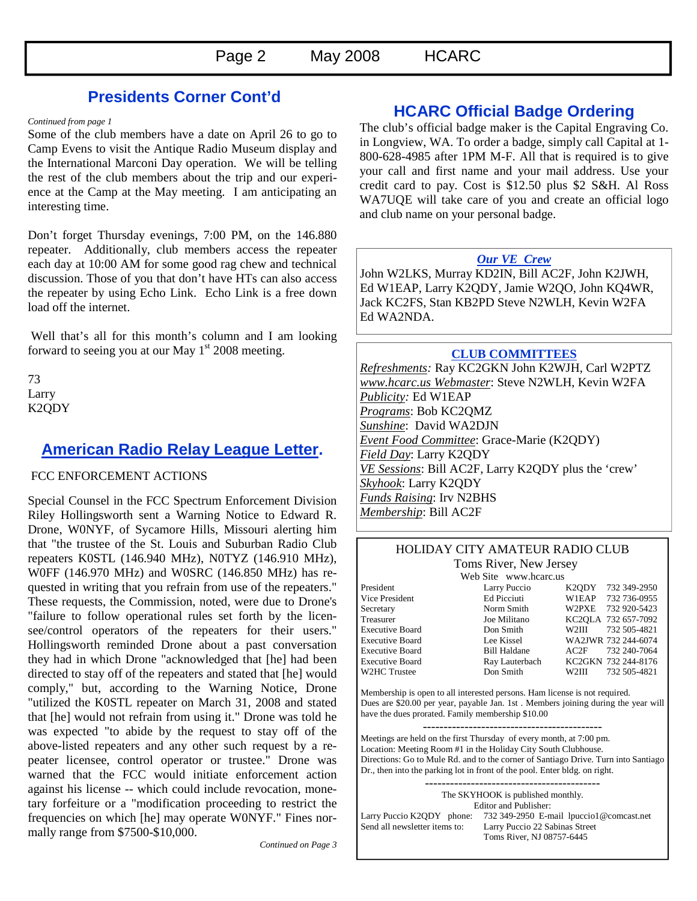## **Presidents Corner Cont'd**

*Continued from page 1* 

Some of the club members have a date on April 26 to go to Camp Evens to visit the Antique Radio Museum display and the International Marconi Day operation. We will be telling the rest of the club members about the trip and our experience at the Camp at the May meeting. I am anticipating an interesting time.

Don't forget Thursday evenings, 7:00 PM, on the 146.880 repeater. Additionally, club members access the repeater each day at 10:00 AM for some good rag chew and technical discussion. Those of you that don't have HTs can also access the repeater by using Echo Link. Echo Link is a free down load off the internet.

 Well that's all for this month's column and I am looking forward to seeing you at our May  $1<sup>st</sup> 2008$  meeting.

73 Larry K2QDY

## **American Radio Relay League Letter.**

#### FCC ENFORCEMENT ACTIONS

Special Counsel in the FCC Spectrum Enforcement Division Riley Hollingsworth sent a Warning Notice to Edward R. Drone, W0NYF, of Sycamore Hills, Missouri alerting him that "the trustee of the St. Louis and Suburban Radio Club repeaters K0STL (146.940 MHz), N0TYZ (146.910 MHz), W0FF (146.970 MHz) and W0SRC (146.850 MHz) has requested in writing that you refrain from use of the repeaters." These requests, the Commission, noted, were due to Drone's "failure to follow operational rules set forth by the licensee/control operators of the repeaters for their users." Hollingsworth reminded Drone about a past conversation they had in which Drone "acknowledged that [he] had been directed to stay off of the repeaters and stated that [he] would comply," but, according to the Warning Notice, Drone "utilized the K0STL repeater on March 31, 2008 and stated that [he] would not refrain from using it." Drone was told he was expected "to abide by the request to stay off of the above-listed repeaters and any other such request by a repeater licensee, control operator or trustee." Drone was warned that the FCC would initiate enforcement action against his license -- which could include revocation, monetary forfeiture or a "modification proceeding to restrict the frequencies on which [he] may operate W0NYF." Fines normally range from \$7500-\$10,000.

**HCARC Official Badge Ordering** 

The club's official badge maker is the Capital Engraving Co. in Longview, WA. To order a badge, simply call Capital at 1- 800-628-4985 after 1PM M-F. All that is required is to give your call and first name and your mail address. Use your credit card to pay. Cost is \$12.50 plus \$2 S&H. Al Ross WA7UQE will take care of you and create an official logo and club name on your personal badge.

#### *Our VE Crew*

John W2LKS, Murray KD2IN, Bill AC2F, John K2JWH, Ed W1EAP, Larry K2QDY, Jamie W2QO, John KQ4WR, Jack KC2FS, Stan KB2PD Steve N2WLH, Kevin W2FA Ed WA2NDA.

#### **CLUB COMMITTEES**

*Refreshments:* Ray KC2GKN John K2WJH, Carl W2PTZ *www.hcarc.us Webmaster*: Steve N2WLH, Kevin W2FA *Publicity:* Ed W1EAP *Programs*: Bob KC2QMZ *Sunshine*: David WA2DJN *Event Food Committee*: Grace-Marie (K2QDY) *Field Day*: Larry K2QDY *VE Sessions*: Bill AC2F, Larry K2QDY plus the 'crew' *Skyhook*: Larry K2QDY *Funds Raising*: Irv N2BHS *Membership*: Bill AC2F

#### HOLIDAY CITY AMATEUR RADIO CLUB Toms River, New Jersey

Web Site www.hcarc.us

President Larry Puccio K2QDY 732 349-2950 Vice President Ed Picciuti W1EAP 732 736-0955 Secretary Norm Smith W2PXE 732 920-5423 Treasurer Joe Militano KC2QLA 732 657-7092 Executive Board Don Smith W2III 732 505-4821 Executive Board Lee Kissel WA2JWR 732 244-6074 Executive Board Bill Haldane AC2F 732 240-7064 Executive Board Ray Lauterbach KC2GKN 732 244-8176 W2HC Trustee Don Smith W2III 732 505-4821

Membership is open to all interested persons. Ham license is not required. Dues are \$20.00 per year, payable Jan. 1st . Members joining during the year will have the dues prorated. Family membership \$10.00

Meetings are held on the first Thursday of every month, at 7:00 pm. Location: Meeting Room #1 in the Holiday City South Clubhouse. Directions: Go to Mule Rd. and to the corner of Santiago Drive. Turn into Santiago Dr., then into the parking lot in front of the pool. Enter bldg. on right.

------------------------------------------ The SKYHOOK is published monthly.

Editor and Publisher: Larry Puccio K2QDY phone: 732 349-2950 E-mail lpuccio1@comcast.net<br>Send all newsletter items to: Larry Puccio 22 Sabinas Street Larry Puccio 22 Sabinas Street Toms River, NJ 08757-6445

*Continued on Page 3*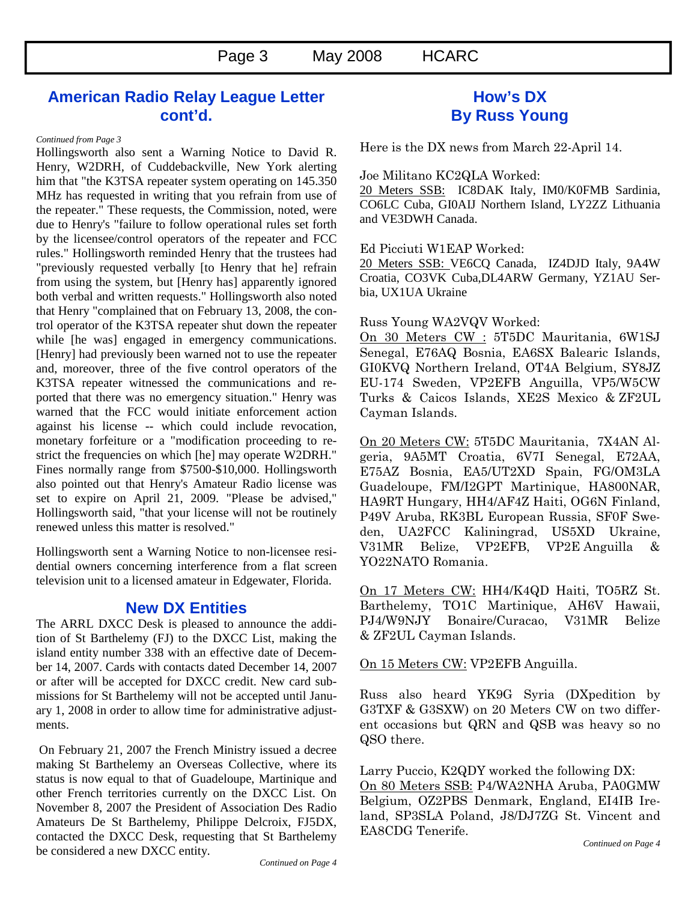## **American Radio Relay League Letter cont'd.**

#### *Continued from Page 3*

Hollingsworth also sent a Warning Notice to David R. Henry, W2DRH, of Cuddebackville, New York alerting him that "the K3TSA repeater system operating on 145.350 MHz has requested in writing that you refrain from use of the repeater." These requests, the Commission, noted, were due to Henry's "failure to follow operational rules set forth by the licensee/control operators of the repeater and FCC rules." Hollingsworth reminded Henry that the trustees had "previously requested verbally [to Henry that he] refrain from using the system, but [Henry has] apparently ignored both verbal and written requests." Hollingsworth also noted that Henry "complained that on February 13, 2008, the control operator of the K3TSA repeater shut down the repeater while [he was] engaged in emergency communications. [Henry] had previously been warned not to use the repeater and, moreover, three of the five control operators of the K3TSA repeater witnessed the communications and reported that there was no emergency situation." Henry was warned that the FCC would initiate enforcement action against his license -- which could include revocation, monetary forfeiture or a "modification proceeding to restrict the frequencies on which [he] may operate W2DRH." Fines normally range from \$7500-\$10,000. Hollingsworth also pointed out that Henry's Amateur Radio license was set to expire on April 21, 2009. "Please be advised," Hollingsworth said, "that your license will not be routinely renewed unless this matter is resolved."

Hollingsworth sent a Warning Notice to non-licensee residential owners concerning interference from a flat screen television unit to a licensed amateur in Edgewater, Florida.

### **New DX Entities**

The ARRL DXCC Desk is pleased to announce the addition of St Barthelemy (FJ) to the DXCC List, making the island entity number 338 with an effective date of December 14, 2007. Cards with contacts dated December 14, 2007 or after will be accepted for DXCC credit. New card submissions for St Barthelemy will not be accepted until January 1, 2008 in order to allow time for administrative adjustments.

 On February 21, 2007 the French Ministry issued a decree making St Barthelemy an Overseas Collective, where its status is now equal to that of Guadeloupe, Martinique and other French territories currently on the DXCC List. On November 8, 2007 the President of Association Des Radio Amateurs De St Barthelemy, Philippe Delcroix, FJ5DX, contacted the DXCC Desk, requesting that St Barthelemy be considered a new DXCC entity.

## **How's DX By Russ Young**

Here is the DX news from March 22-April 14.

Joe Militano KC2QLA Worked:

20 Meters SSB: IC8DAK Italy, IM0/K0FMB Sardinia, CO6LC Cuba, GI0AIJ Northern Island, LY2ZZ Lithuania and VE3DWH Canada.

Ed Picciuti W1EAP Worked:

20 Meters SSB: VE6CQ Canada, IZ4DJD Italy, 9A4W Croatia, CO3VK Cuba,DL4ARW Germany, YZ1AU Serbia, UX1UA Ukraine

#### Russ Young WA2VQV Worked:

On 30 Meters CW : 5T5DC Mauritania, 6W1SJ Senegal, E76AQ Bosnia, EA6SX Balearic Islands, GI0KVQ Northern Ireland, OT4A Belgium, SY8JZ EU-174 Sweden, VP2EFB Anguilla, VP5/W5CW Turks & Caicos Islands, XE2S Mexico & ZF2UL Cayman Islands.

On 20 Meters CW: 5T5DC Mauritania, 7X4AN Algeria, 9A5MT Croatia, 6V7I Senegal, E72AA, E75AZ Bosnia, EA5/UT2XD Spain, FG/OM3LA Guadeloupe, FM/I2GPT Martinique, HA800NAR, HA9RT Hungary, HH4/AF4Z Haiti, OG6N Finland, P49V Aruba, RK3BL European Russia, SF0F Sweden, UA2FCC Kaliningrad, US5XD Ukraine, V31MR Belize, VP2EFB, VP2E Anguilla & YO22NATO Romania.

On 17 Meters CW: HH4/K4QD Haiti, TO5RZ St. Barthelemy, TO1C Martinique, AH6V Hawaii, PJ4/W9NJY Bonaire/Curacao, V31MR Belize & ZF2UL Cayman Islands.

On 15 Meters CW: VP2EFB Anguilla.

Russ also heard YK9G Syria (DXpedition by G3TXF & G3SXW) on 20 Meters CW on two different occasions but QRN and QSB was heavy so no QSO there.

Larry Puccio, K2QDY worked the following DX: On 80 Meters SSB: P4/WA2NHA Aruba, PA0GMW Belgium, OZ2PBS Denmark, England, EI4IB Ireland, SP3SLA Poland, J8/DJ7ZG St. Vincent and EA8CDG Tenerife.